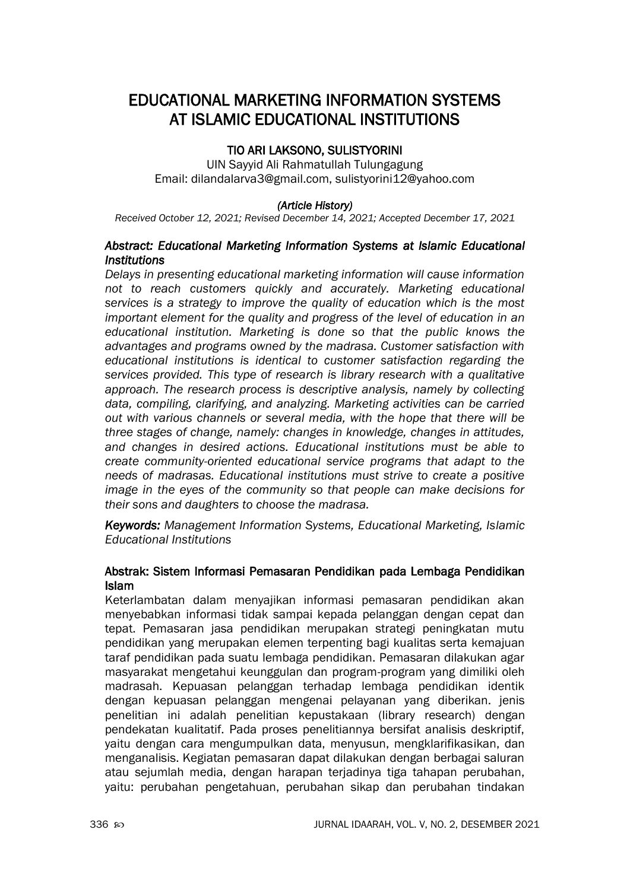# EDUCATIONAL MARKETING INFORMATION SYSTEMS AT ISLAMIC EDUCATIONAL INSTITUTIONS

# TIO ARI LAKSONO, SULISTYORINI

UIN Sayyid Ali Rahmatullah Tulungagung Email: dilandalarva3@gmail.com, sulistyorini12@yahoo.com

#### *(Article History)*

*Received October 12, 2021; Revised December 14, 2021; Accepted December 17, 2021*

## *Abstract: Educational Marketing Information Systems at Islamic Educational Institutions*

*Delays in presenting educational marketing information will cause information not to reach customers quickly and accurately. Marketing educational services is a strategy to improve the quality of education which is the most important element for the quality and progress of the level of education in an educational institution. Marketing is done so that the public knows the advantages and programs owned by the madrasa. Customer satisfaction with educational institutions is identical to customer satisfaction regarding the services provided. This type of research is library research with a qualitative approach. The research process is descriptive analysis, namely by collecting data, compiling, clarifying, and analyzing. Marketing activities can be carried out with various channels or several media, with the hope that there will be three stages of change, namely: changes in knowledge, changes in attitudes, and changes in desired actions. Educational institutions must be able to create community-oriented educational service programs that adapt to the needs of madrasas. Educational institutions must strive to create a positive image in the eyes of the community so that people can make decisions for their sons and daughters to choose the madrasa.*

*Keywords: Management Information Systems, Educational Marketing, Islamic Educational Institutions*

## Abstrak: Sistem Informasi Pemasaran Pendidikan pada Lembaga Pendidikan Islam

Keterlambatan dalam menyajikan informasi pemasaran pendidikan akan menyebabkan informasi tidak sampai kepada pelanggan dengan cepat dan tepat. Pemasaran jasa pendidikan merupakan strategi peningkatan mutu pendidikan yang merupakan elemen terpenting bagi kualitas serta kemajuan taraf pendidikan pada suatu lembaga pendidikan. Pemasaran dilakukan agar masyarakat mengetahui keunggulan dan program-program yang dimiliki oleh madrasah. Kepuasan pelanggan terhadap lembaga pendidikan identik dengan kepuasan pelanggan mengenai pelayanan yang diberikan. jenis penelitian ini adalah penelitian kepustakaan (library research) dengan pendekatan kualitatif. Pada proses penelitiannya bersifat analisis deskriptif, yaitu dengan cara mengumpulkan data, menyusun, mengklarifikasikan, dan menganalisis. Kegiatan pemasaran dapat dilakukan dengan berbagai saluran atau sejumlah media, dengan harapan terjadinya tiga tahapan perubahan, yaitu: perubahan pengetahuan, perubahan sikap dan perubahan tindakan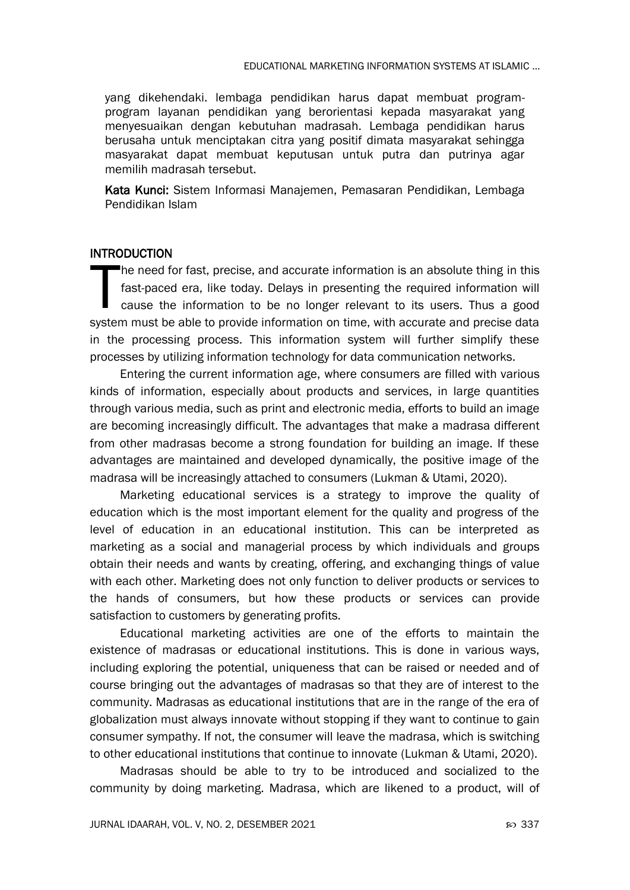yang dikehendaki. lembaga pendidikan harus dapat membuat programprogram layanan pendidikan yang berorientasi kepada masyarakat yang menyesuaikan dengan kebutuhan madrasah. Lembaga pendidikan harus berusaha untuk menciptakan citra yang positif dimata masyarakat sehingga masyarakat dapat membuat keputusan untuk putra dan putrinya agar memilih madrasah tersebut.

Kata Kunci: Sistem Informasi Manajemen, Pemasaran Pendidikan, Lembaga Pendidikan Islam

## INTRODUCTION

he need for fast, precise, and accurate information is an absolute thing in this fast-paced era, like today. Delays in presenting the required information will cause the information to be no longer relevant to its users. Thus a good system must be able to provide information on time, with accurate and precise data in the processing process. This information system will further simplify these processes by utilizing information technology for data communication networks. T

Entering the current information age, where consumers are filled with various kinds of information, especially about products and services, in large quantities through various media, such as print and electronic media, efforts to build an image are becoming increasingly difficult. The advantages that make a madrasa different from other madrasas become a strong foundation for building an image. If these advantages are maintained and developed dynamically, the positive image of the madrasa will be increasingly attached to consumers (Lukman & Utami, 2020).

Marketing educational services is a strategy to improve the quality of education which is the most important element for the quality and progress of the level of education in an educational institution. This can be interpreted as marketing as a social and managerial process by which individuals and groups obtain their needs and wants by creating, offering, and exchanging things of value with each other. Marketing does not only function to deliver products or services to the hands of consumers, but how these products or services can provide satisfaction to customers by generating profits.

Educational marketing activities are one of the efforts to maintain the existence of madrasas or educational institutions. This is done in various ways, including exploring the potential, uniqueness that can be raised or needed and of course bringing out the advantages of madrasas so that they are of interest to the community. Madrasas as educational institutions that are in the range of the era of globalization must always innovate without stopping if they want to continue to gain consumer sympathy. If not, the consumer will leave the madrasa, which is switching to other educational institutions that continue to innovate (Lukman & Utami, 2020).

Madrasas should be able to try to be introduced and socialized to the community by doing marketing. Madrasa, which are likened to a product, will of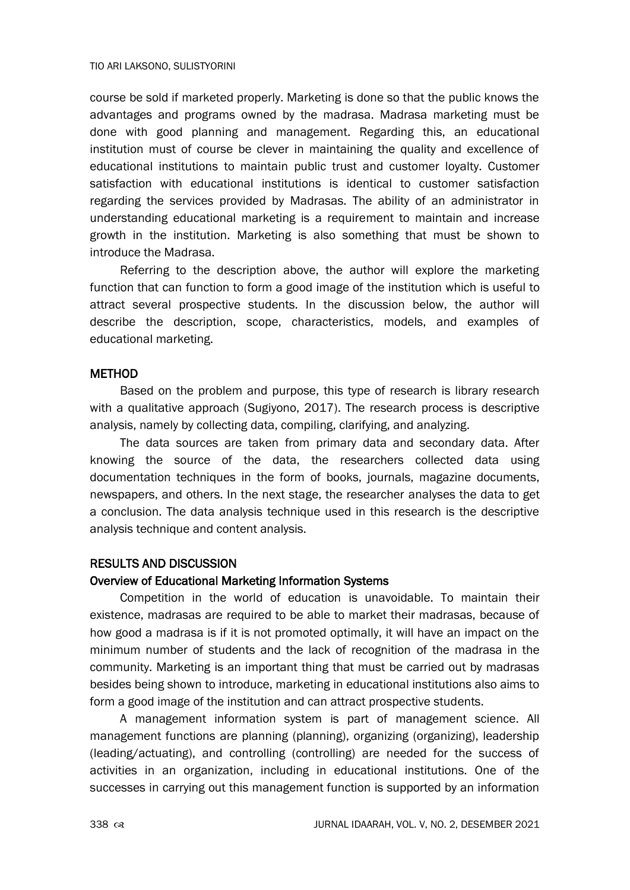course be sold if marketed properly. Marketing is done so that the public knows the advantages and programs owned by the madrasa. Madrasa marketing must be done with good planning and management. Regarding this, an educational institution must of course be clever in maintaining the quality and excellence of educational institutions to maintain public trust and customer loyalty. Customer satisfaction with educational institutions is identical to customer satisfaction regarding the services provided by Madrasas. The ability of an administrator in understanding educational marketing is a requirement to maintain and increase growth in the institution. Marketing is also something that must be shown to introduce the Madrasa.

Referring to the description above, the author will explore the marketing function that can function to form a good image of the institution which is useful to attract several prospective students. In the discussion below, the author will describe the description, scope, characteristics, models, and examples of educational marketing.

#### **METHOD**

Based on the problem and purpose, this type of research is library research with a qualitative approach (Sugiyono, 2017). The research process is descriptive analysis, namely by collecting data, compiling, clarifying, and analyzing.

The data sources are taken from primary data and secondary data. After knowing the source of the data, the researchers collected data using documentation techniques in the form of books, journals, magazine documents, newspapers, and others. In the next stage, the researcher analyses the data to get a conclusion. The data analysis technique used in this research is the descriptive analysis technique and content analysis.

## RESULTS AND DISCUSSION

#### Overview of Educational Marketing Information Systems

Competition in the world of education is unavoidable. To maintain their existence, madrasas are required to be able to market their madrasas, because of how good a madrasa is if it is not promoted optimally, it will have an impact on the minimum number of students and the lack of recognition of the madrasa in the community. Marketing is an important thing that must be carried out by madrasas besides being shown to introduce, marketing in educational institutions also aims to form a good image of the institution and can attract prospective students.

A management information system is part of management science. All management functions are planning (planning), organizing (organizing), leadership (leading/actuating), and controlling (controlling) are needed for the success of activities in an organization, including in educational institutions. One of the successes in carrying out this management function is supported by an information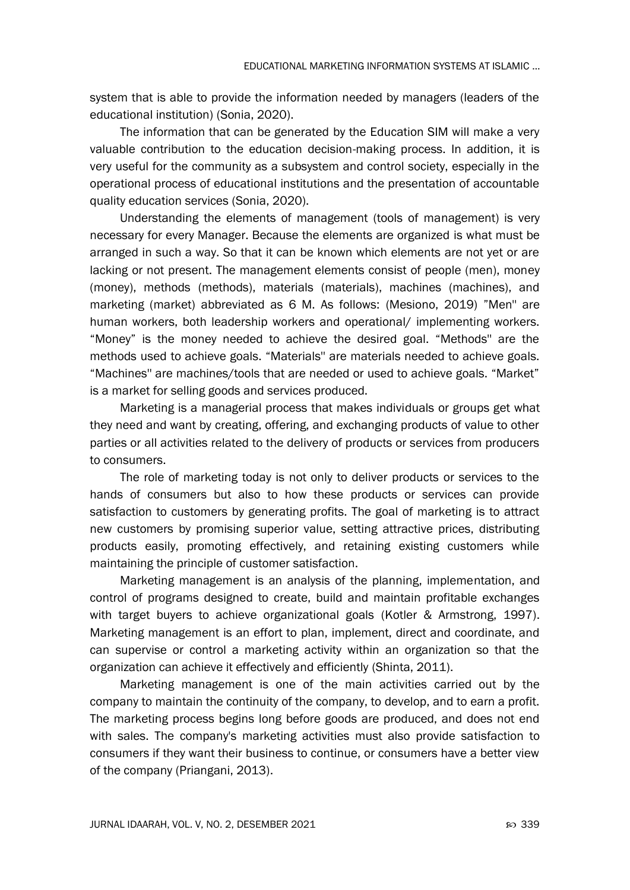system that is able to provide the information needed by managers (leaders of the educational institution) (Sonia, 2020).

The information that can be generated by the Education SIM will make a very valuable contribution to the education decision-making process. In addition, it is very useful for the community as a subsystem and control society, especially in the operational process of educational institutions and the presentation of accountable quality education services (Sonia, 2020).

Understanding the elements of management (tools of management) is very necessary for every Manager. Because the elements are organized is what must be arranged in such a way. So that it can be known which elements are not yet or are lacking or not present. The management elements consist of people (men), money (money), methods (methods), materials (materials), machines (machines), and marketing (market) abbreviated as 6 M. As follows: (Mesiono, 2019) "Men'' are human workers, both leadership workers and operational/ implementing workers. "Money" is the money needed to achieve the desired goal. "Methods'' are the methods used to achieve goals. "Materials'' are materials needed to achieve goals. "Machines'' are machines/tools that are needed or used to achieve goals. "Market" is a market for selling goods and services produced.

Marketing is a managerial process that makes individuals or groups get what they need and want by creating, offering, and exchanging products of value to other parties or all activities related to the delivery of products or services from producers to consumers.

The role of marketing today is not only to deliver products or services to the hands of consumers but also to how these products or services can provide satisfaction to customers by generating profits. The goal of marketing is to attract new customers by promising superior value, setting attractive prices, distributing products easily, promoting effectively, and retaining existing customers while maintaining the principle of customer satisfaction.

Marketing management is an analysis of the planning, implementation, and control of programs designed to create, build and maintain profitable exchanges with target buyers to achieve organizational goals (Kotler & Armstrong, 1997). Marketing management is an effort to plan, implement, direct and coordinate, and can supervise or control a marketing activity within an organization so that the organization can achieve it effectively and efficiently (Shinta, 2011).

Marketing management is one of the main activities carried out by the company to maintain the continuity of the company, to develop, and to earn a profit. The marketing process begins long before goods are produced, and does not end with sales. The company's marketing activities must also provide satisfaction to consumers if they want their business to continue, or consumers have a better view of the company (Priangani, 2013).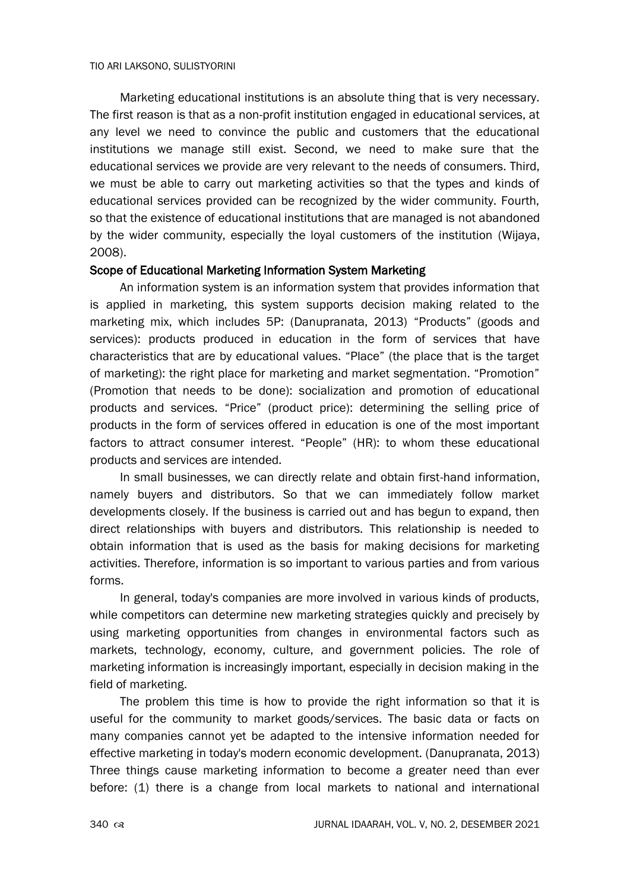Marketing educational institutions is an absolute thing that is very necessary. The first reason is that as a non-profit institution engaged in educational services, at any level we need to convince the public and customers that the educational institutions we manage still exist. Second, we need to make sure that the educational services we provide are very relevant to the needs of consumers. Third, we must be able to carry out marketing activities so that the types and kinds of educational services provided can be recognized by the wider community. Fourth, so that the existence of educational institutions that are managed is not abandoned by the wider community, especially the loyal customers of the institution (Wijaya, 2008).

#### Scope of Educational Marketing Information System Marketing

An information system is an information system that provides information that is applied in marketing, this system supports decision making related to the marketing mix, which includes 5P: (Danupranata, 2013) "Products" (goods and services): products produced in education in the form of services that have characteristics that are by educational values. "Place" (the place that is the target of marketing): the right place for marketing and market segmentation. "Promotion" (Promotion that needs to be done): socialization and promotion of educational products and services. "Price" (product price): determining the selling price of products in the form of services offered in education is one of the most important factors to attract consumer interest. "People" (HR): to whom these educational products and services are intended.

In small businesses, we can directly relate and obtain first-hand information, namely buyers and distributors. So that we can immediately follow market developments closely. If the business is carried out and has begun to expand, then direct relationships with buyers and distributors. This relationship is needed to obtain information that is used as the basis for making decisions for marketing activities. Therefore, information is so important to various parties and from various forms.

In general, today's companies are more involved in various kinds of products, while competitors can determine new marketing strategies quickly and precisely by using marketing opportunities from changes in environmental factors such as markets, technology, economy, culture, and government policies. The role of marketing information is increasingly important, especially in decision making in the field of marketing.

The problem this time is how to provide the right information so that it is useful for the community to market goods/services. The basic data or facts on many companies cannot yet be adapted to the intensive information needed for effective marketing in today's modern economic development. (Danupranata, 2013) Three things cause marketing information to become a greater need than ever before: (1) there is a change from local markets to national and international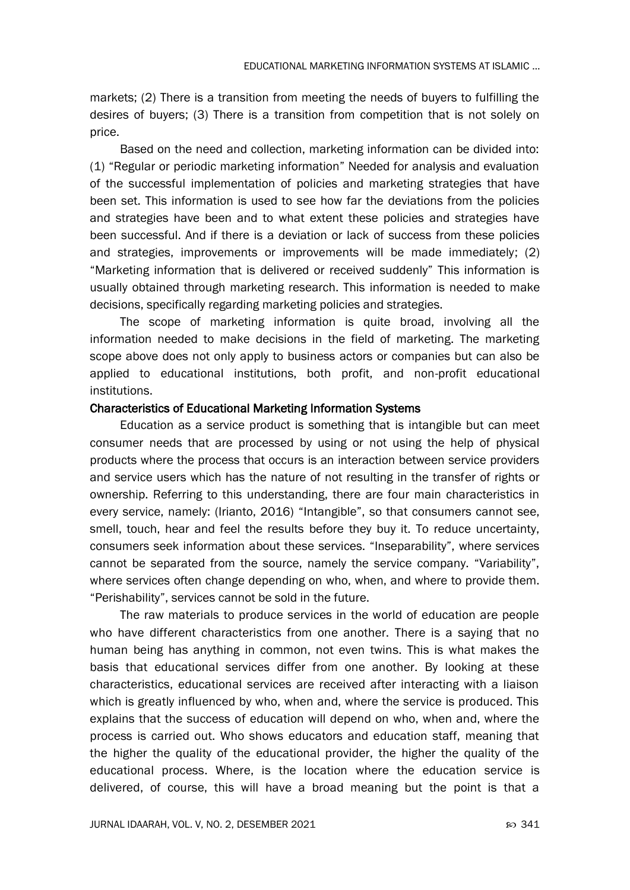markets; (2) There is a transition from meeting the needs of buyers to fulfilling the desires of buyers; (3) There is a transition from competition that is not solely on price.

Based on the need and collection, marketing information can be divided into: (1) "Regular or periodic marketing information" Needed for analysis and evaluation of the successful implementation of policies and marketing strategies that have been set. This information is used to see how far the deviations from the policies and strategies have been and to what extent these policies and strategies have been successful. And if there is a deviation or lack of success from these policies and strategies, improvements or improvements will be made immediately; (2) "Marketing information that is delivered or received suddenly" This information is usually obtained through marketing research. This information is needed to make decisions, specifically regarding marketing policies and strategies.

The scope of marketing information is quite broad, involving all the information needed to make decisions in the field of marketing. The marketing scope above does not only apply to business actors or companies but can also be applied to educational institutions, both profit, and non-profit educational institutions.

#### Characteristics of Educational Marketing Information Systems

Education as a service product is something that is intangible but can meet consumer needs that are processed by using or not using the help of physical products where the process that occurs is an interaction between service providers and service users which has the nature of not resulting in the transfer of rights or ownership. Referring to this understanding, there are four main characteristics in every service, namely: (Irianto, 2016) "Intangible", so that consumers cannot see, smell, touch, hear and feel the results before they buy it. To reduce uncertainty, consumers seek information about these services. "Inseparability", where services cannot be separated from the source, namely the service company. "Variability", where services often change depending on who, when, and where to provide them. "Perishability", services cannot be sold in the future.

The raw materials to produce services in the world of education are people who have different characteristics from one another. There is a saying that no human being has anything in common, not even twins. This is what makes the basis that educational services differ from one another. By looking at these characteristics, educational services are received after interacting with a liaison which is greatly influenced by who, when and, where the service is produced. This explains that the success of education will depend on who, when and, where the process is carried out. Who shows educators and education staff, meaning that the higher the quality of the educational provider, the higher the quality of the educational process. Where, is the location where the education service is delivered, of course, this will have a broad meaning but the point is that a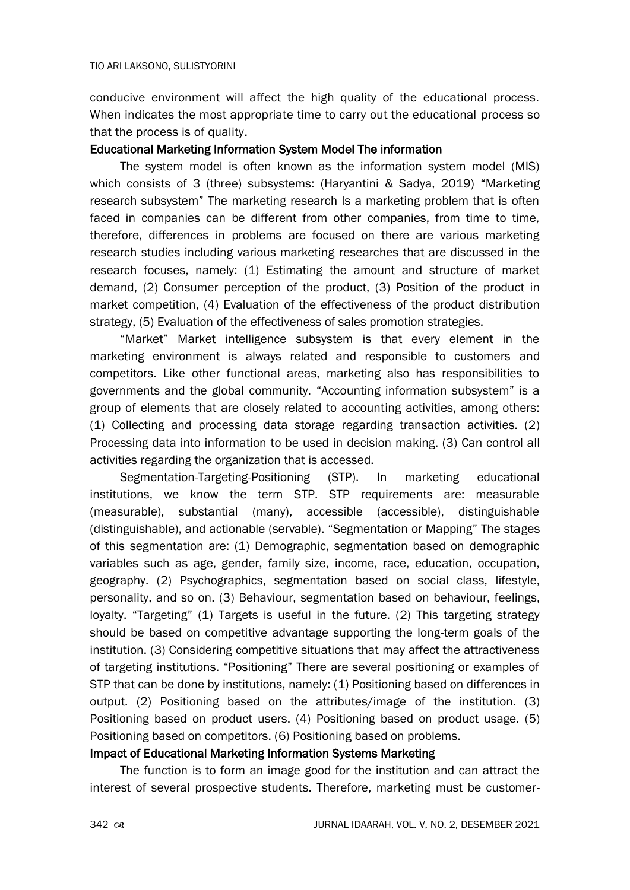conducive environment will affect the high quality of the educational process. When indicates the most appropriate time to carry out the educational process so that the process is of quality.

## Educational Marketing Information System Model The information

The system model is often known as the information system model (MIS) which consists of 3 (three) subsystems: (Haryantini & Sadya, 2019) "Marketing research subsystem" The marketing research Is a marketing problem that is often faced in companies can be different from other companies, from time to time, therefore, differences in problems are focused on there are various marketing research studies including various marketing researches that are discussed in the research focuses, namely: (1) Estimating the amount and structure of market demand, (2) Consumer perception of the product, (3) Position of the product in market competition, (4) Evaluation of the effectiveness of the product distribution strategy, (5) Evaluation of the effectiveness of sales promotion strategies.

"Market" Market intelligence subsystem is that every element in the marketing environment is always related and responsible to customers and competitors. Like other functional areas, marketing also has responsibilities to governments and the global community. "Accounting information subsystem" is a group of elements that are closely related to accounting activities, among others: (1) Collecting and processing data storage regarding transaction activities. (2) Processing data into information to be used in decision making. (3) Can control all activities regarding the organization that is accessed.

Segmentation-Targeting-Positioning (STP). In marketing educational institutions, we know the term STP. STP requirements are: measurable (measurable), substantial (many), accessible (accessible), distinguishable (distinguishable), and actionable (servable). "Segmentation or Mapping" The stages of this segmentation are: (1) Demographic, segmentation based on demographic variables such as age, gender, family size, income, race, education, occupation, geography. (2) Psychographics, segmentation based on social class, lifestyle, personality, and so on. (3) Behaviour, segmentation based on behaviour, feelings, loyalty. "Targeting" (1) Targets is useful in the future. (2) This targeting strategy should be based on competitive advantage supporting the long-term goals of the institution. (3) Considering competitive situations that may affect the attractiveness of targeting institutions. "Positioning" There are several positioning or examples of STP that can be done by institutions, namely: (1) Positioning based on differences in output. (2) Positioning based on the attributes/image of the institution. (3) Positioning based on product users. (4) Positioning based on product usage. (5) Positioning based on competitors. (6) Positioning based on problems.

## Impact of Educational Marketing Information Systems Marketing

The function is to form an image good for the institution and can attract the interest of several prospective students. Therefore, marketing must be customer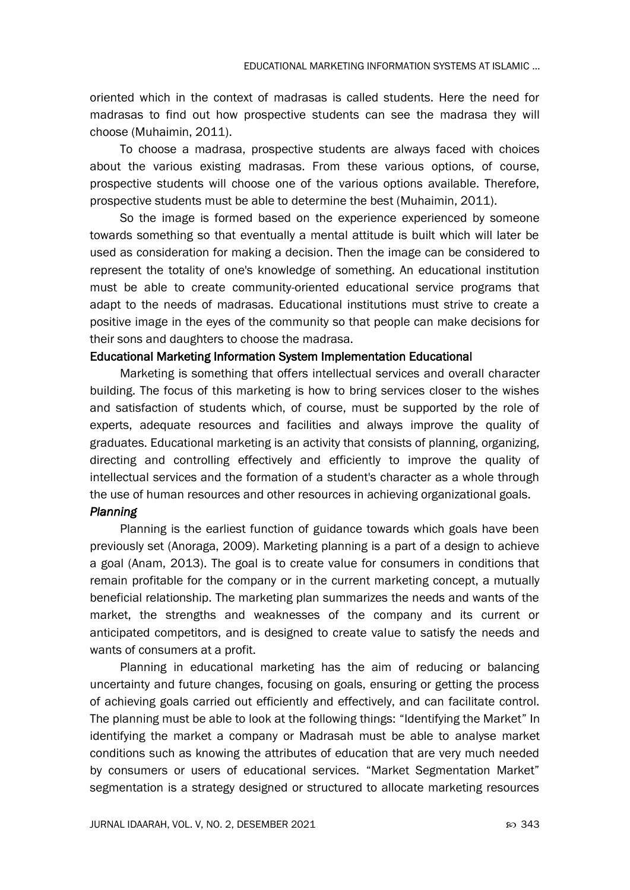oriented which in the context of madrasas is called students. Here the need for madrasas to find out how prospective students can see the madrasa they will choose (Muhaimin, 2011).

To choose a madrasa, prospective students are always faced with choices about the various existing madrasas. From these various options, of course, prospective students will choose one of the various options available. Therefore, prospective students must be able to determine the best (Muhaimin, 2011).

So the image is formed based on the experience experienced by someone towards something so that eventually a mental attitude is built which will later be used as consideration for making a decision. Then the image can be considered to represent the totality of one's knowledge of something. An educational institution must be able to create community-oriented educational service programs that adapt to the needs of madrasas. Educational institutions must strive to create a positive image in the eyes of the community so that people can make decisions for their sons and daughters to choose the madrasa.

#### Educational Marketing Information System Implementation Educational

Marketing is something that offers intellectual services and overall character building. The focus of this marketing is how to bring services closer to the wishes and satisfaction of students which, of course, must be supported by the role of experts, adequate resources and facilities and always improve the quality of graduates. Educational marketing is an activity that consists of planning, organizing, directing and controlling effectively and efficiently to improve the quality of intellectual services and the formation of a student's character as a whole through the use of human resources and other resources in achieving organizational goals.

#### *Planning*

Planning is the earliest function of guidance towards which goals have been previously set (Anoraga, 2009). Marketing planning is a part of a design to achieve a goal (Anam, 2013). The goal is to create value for consumers in conditions that remain profitable for the company or in the current marketing concept, a mutually beneficial relationship. The marketing plan summarizes the needs and wants of the market, the strengths and weaknesses of the company and its current or anticipated competitors, and is designed to create value to satisfy the needs and wants of consumers at a profit.

Planning in educational marketing has the aim of reducing or balancing uncertainty and future changes, focusing on goals, ensuring or getting the process of achieving goals carried out efficiently and effectively, and can facilitate control. The planning must be able to look at the following things: "Identifying the Market" In identifying the market a company or Madrasah must be able to analyse market conditions such as knowing the attributes of education that are very much needed by consumers or users of educational services. "Market Segmentation Market" segmentation is a strategy designed or structured to allocate marketing resources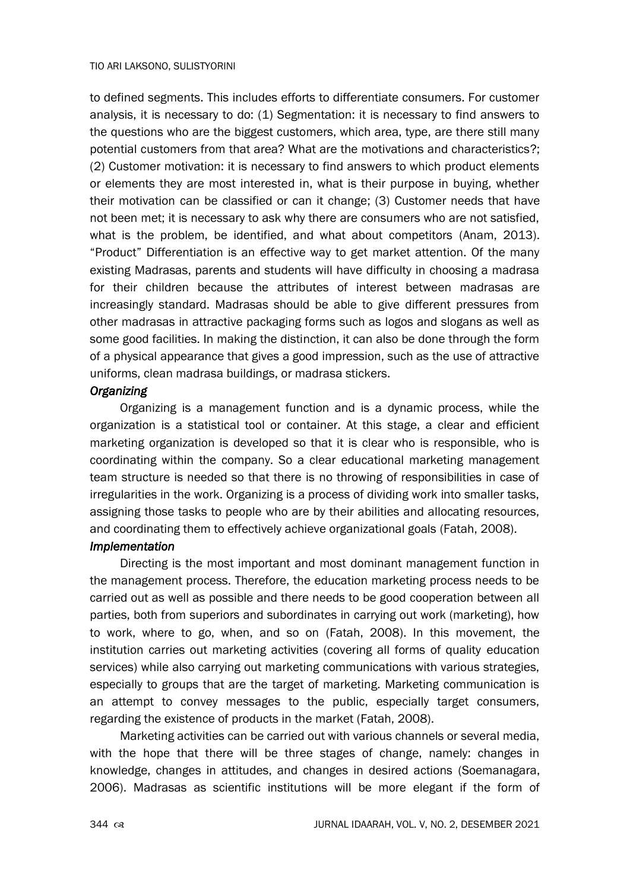to defined segments. This includes efforts to differentiate consumers. For customer analysis, it is necessary to do: (1) Segmentation: it is necessary to find answers to the questions who are the biggest customers, which area, type, are there still many potential customers from that area? What are the motivations and characteristics?; (2) Customer motivation: it is necessary to find answers to which product elements or elements they are most interested in, what is their purpose in buying, whether their motivation can be classified or can it change; (3) Customer needs that have not been met; it is necessary to ask why there are consumers who are not satisfied, what is the problem, be identified, and what about competitors (Anam, 2013). "Product" Differentiation is an effective way to get market attention. Of the many existing Madrasas, parents and students will have difficulty in choosing a madrasa for their children because the attributes of interest between madrasas are increasingly standard. Madrasas should be able to give different pressures from other madrasas in attractive packaging forms such as logos and slogans as well as some good facilities. In making the distinction, it can also be done through the form of a physical appearance that gives a good impression, such as the use of attractive uniforms, clean madrasa buildings, or madrasa stickers.

## *Organizing*

Organizing is a management function and is a dynamic process, while the organization is a statistical tool or container. At this stage, a clear and efficient marketing organization is developed so that it is clear who is responsible, who is coordinating within the company. So a clear educational marketing management team structure is needed so that there is no throwing of responsibilities in case of irregularities in the work. Organizing is a process of dividing work into smaller tasks, assigning those tasks to people who are by their abilities and allocating resources, and coordinating them to effectively achieve organizational goals (Fatah, 2008).

## *Implementation*

Directing is the most important and most dominant management function in the management process. Therefore, the education marketing process needs to be carried out as well as possible and there needs to be good cooperation between all parties, both from superiors and subordinates in carrying out work (marketing), how to work, where to go, when, and so on (Fatah, 2008). In this movement, the institution carries out marketing activities (covering all forms of quality education services) while also carrying out marketing communications with various strategies, especially to groups that are the target of marketing. Marketing communication is an attempt to convey messages to the public, especially target consumers, regarding the existence of products in the market (Fatah, 2008).

Marketing activities can be carried out with various channels or several media, with the hope that there will be three stages of change, namely: changes in knowledge, changes in attitudes, and changes in desired actions (Soemanagara, 2006). Madrasas as scientific institutions will be more elegant if the form of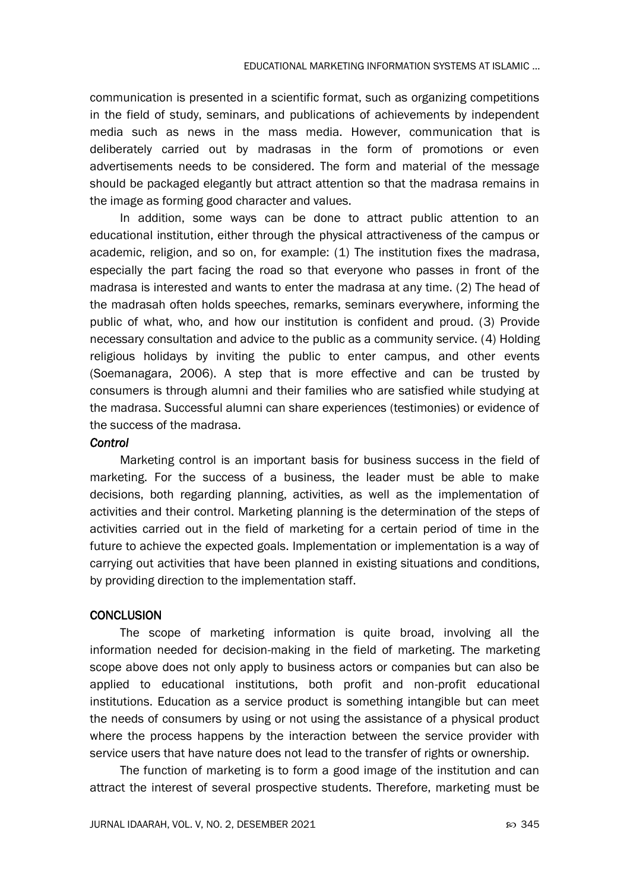communication is presented in a scientific format, such as organizing competitions in the field of study, seminars, and publications of achievements by independent media such as news in the mass media. However, communication that is deliberately carried out by madrasas in the form of promotions or even advertisements needs to be considered. The form and material of the message should be packaged elegantly but attract attention so that the madrasa remains in the image as forming good character and values.

In addition, some ways can be done to attract public attention to an educational institution, either through the physical attractiveness of the campus or academic, religion, and so on, for example: (1) The institution fixes the madrasa, especially the part facing the road so that everyone who passes in front of the madrasa is interested and wants to enter the madrasa at any time. (2) The head of the madrasah often holds speeches, remarks, seminars everywhere, informing the public of what, who, and how our institution is confident and proud. (3) Provide necessary consultation and advice to the public as a community service. (4) Holding religious holidays by inviting the public to enter campus, and other events (Soemanagara, 2006). A step that is more effective and can be trusted by consumers is through alumni and their families who are satisfied while studying at the madrasa. Successful alumni can share experiences (testimonies) or evidence of the success of the madrasa.

#### *Control*

Marketing control is an important basis for business success in the field of marketing. For the success of a business, the leader must be able to make decisions, both regarding planning, activities, as well as the implementation of activities and their control. Marketing planning is the determination of the steps of activities carried out in the field of marketing for a certain period of time in the future to achieve the expected goals. Implementation or implementation is a way of carrying out activities that have been planned in existing situations and conditions, by providing direction to the implementation staff.

## **CONCLUSION**

The scope of marketing information is quite broad, involving all the information needed for decision-making in the field of marketing. The marketing scope above does not only apply to business actors or companies but can also be applied to educational institutions, both profit and non-profit educational institutions. Education as a service product is something intangible but can meet the needs of consumers by using or not using the assistance of a physical product where the process happens by the interaction between the service provider with service users that have nature does not lead to the transfer of rights or ownership.

The function of marketing is to form a good image of the institution and can attract the interest of several prospective students. Therefore, marketing must be